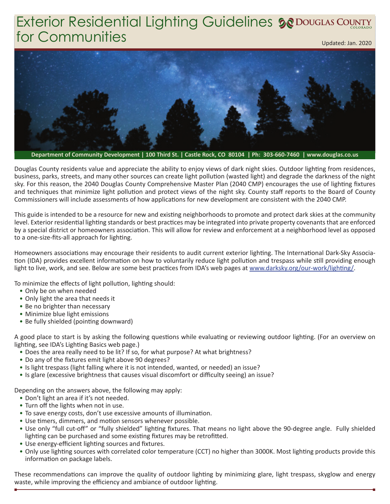## Exterior Residential Lighting Guidelines **5@** Douglas Country for Communities Updated: Jan. 2020



**Department of Community Development | 100 Third St. | Castle Rock, CO 80104 | Ph: 303-660-7460 | www.douglas.co.us**

Douglas County residents value and appreciate the ability to enjoy views of dark night skies. Outdoor lighting from residences, business, parks, streets, and many other sources can create light pollution (wasted light) and degrade the darkness of the night sky. For this reason, the 2040 Douglas County Comprehensive Master Plan (2040 CMP) encourages the use of lighting fixtures and techniques that minimize light pollution and protect views of the night sky. County staff reports to the Board of County Commissioners will include assessments of how applications for new development are consistent with the 2040 CMP.

This guide is intended to be a resource for new and existing neighborhoods to promote and protect dark skies at the community level. Exterior residential lighting standards or best practices may be integrated into private property covenants that are enforced by a special district or homeowners association. This will allow for review and enforcement at a neighborhood level as opposed to a one-size-fits-all approach for lighting.

Homeowners associations may encourage their residents to audit current exterior lighting. The International Dark-Sky Association (IDA) provides excellent information on how to voluntarily reduce light pollution and trespass while still providing enough light to live, work, and see. Below are some best practices from IDA's web pages at www.darksky.org/our-work/lighting/.

To minimize the effects of light pollution, lighting should:

- Only be on when needed
- Only light the area that needs it
- Be no brighter than necessary
- Minimize blue light emissions
- Be fully shielded (pointing downward)

A good place to start is by asking the following questions while evaluating or reviewing outdoor lighting. (For an overview on lighting, see IDA's Lighting Basics web page.)

- Does the area really need to be lit? If so, for what purpose? At what brightness?
- Do any of the fixtures emit light above 90 degrees?
- Is light trespass (light falling where it is not intended, wanted, or needed) an issue?
- Is glare (excessive brightness that causes visual discomfort or difficulty seeing) an issue?

Depending on the answers above, the following may apply:

- Don't light an area if it's not needed.
- Turn off the lights when not in use.
- To save energy costs, don't use excessive amounts of illumination.
- Use timers, dimmers, and motion sensors whenever possible.
- Use only "full cut-off" or "fully shielded" lighting fixtures. That means no light above the 90-degree angle. Fully shielded lighting can be purchased and some existing fixtures may be retrofitted.
- Use energy-efficient lighting sources and fixtures.
- Only use lighting sources with correlated color temperature (CCT) no higher than 3000K. Most lighting products provide this information on package labels.

These recommendations can improve the quality of outdoor lighting by minimizing glare, light trespass, skyglow and energy waste, while improving the efficiency and ambiance of outdoor lighting.